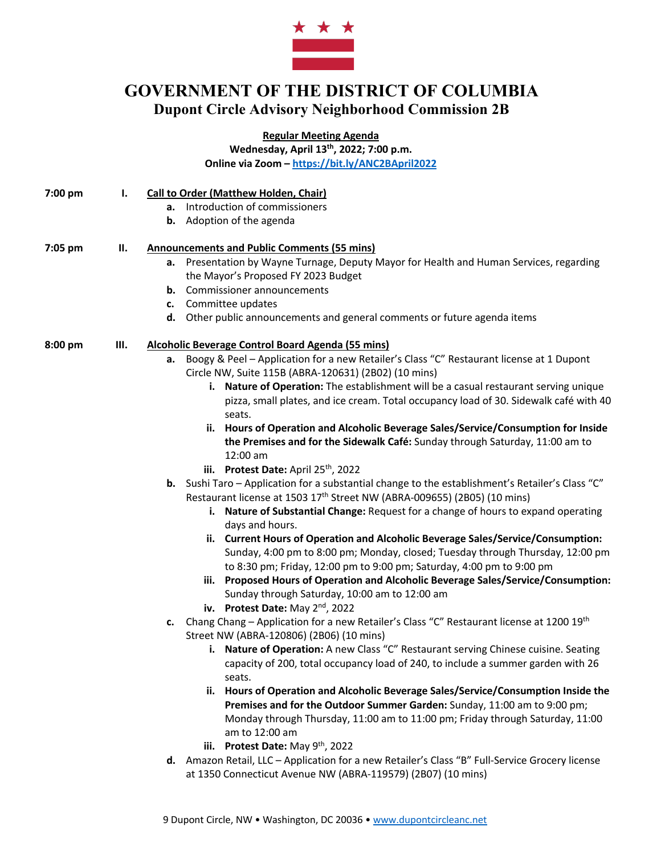

## **GOVERNMENT OF THE DISTRICT OF COLUMBIA Dupont Circle Advisory Neighborhood Commission 2B**

**Regular Meeting Agenda**

**Wednesday, April 13th, 2022; 7:00 p.m. Online via Zoom – https://bit.ly/ANC2BApril2022**

- **7:00 pm I. Call to Order (Matthew Holden, Chair)**
	- **a.** Introduction of commissioners
	- **b.** Adoption of the agenda

#### **7:05 pm II. Announcements and Public Comments (55 mins)**

- **a.** Presentation by Wayne Turnage, Deputy Mayor for Health and Human Services, regarding the Mayor's Proposed FY 2023 Budget
- **b.** Commissioner announcements
- **c.** Committee updates
- **d.** Other public announcements and general comments or future agenda items

#### **8:00 pm III. Alcoholic Beverage Control Board Agenda (55 mins)**

- **a.** Boogy & Peel Application for a new Retailer's Class "C" Restaurant license at 1 Dupont Circle NW, Suite 115B (ABRA-120631) (2B02) (10 mins)
	- **i. Nature of Operation:** The establishment will be a casual restaurant serving unique pizza, small plates, and ice cream. Total occupancy load of 30. Sidewalk café with 40 seats.
	- **ii. Hours of Operation and Alcoholic Beverage Sales/Service/Consumption for Inside the Premises and for the Sidewalk Café:** Sunday through Saturday, 11:00 am to 12:00 am
	- **iii.** Protest Date: April 25<sup>th</sup>, 2022
- **b.** Sushi Taro Application for a substantial change to the establishment's Retailer's Class "C" Restaurant license at 1503 17<sup>th</sup> Street NW (ABRA-009655) (2B05) (10 mins)
	- **i. Nature of Substantial Change:** Request for a change of hours to expand operating days and hours.
	- **ii. Current Hours of Operation and Alcoholic Beverage Sales/Service/Consumption:** Sunday, 4:00 pm to 8:00 pm; Monday, closed; Tuesday through Thursday, 12:00 pm to 8:30 pm; Friday, 12:00 pm to 9:00 pm; Saturday, 4:00 pm to 9:00 pm
	- **iii. Proposed Hours of Operation and Alcoholic Beverage Sales/Service/Consumption:** Sunday through Saturday, 10:00 am to 12:00 am
	- **iv. Protest Date:** May 2nd, 2022
- **c.** Chang Chang Application for a new Retailer's Class "C" Restaurant license at 1200 19th Street NW (ABRA-120806) (2B06) (10 mins)
	- **i. Nature of Operation:** A new Class "C" Restaurant serving Chinese cuisine. Seating capacity of 200, total occupancy load of 240, to include a summer garden with 26 seats.
	- **ii. Hours of Operation and Alcoholic Beverage Sales/Service/Consumption Inside the Premises and for the Outdoor Summer Garden:** Sunday, 11:00 am to 9:00 pm; Monday through Thursday, 11:00 am to 11:00 pm; Friday through Saturday, 11:00 am to 12:00 am
	- **iii.** Protest Date: May 9<sup>th</sup>, 2022
- **d.** Amazon Retail, LLC Application for a new Retailer's Class "B" Full-Service Grocery license at 1350 Connecticut Avenue NW (ABRA-119579) (2B07) (10 mins)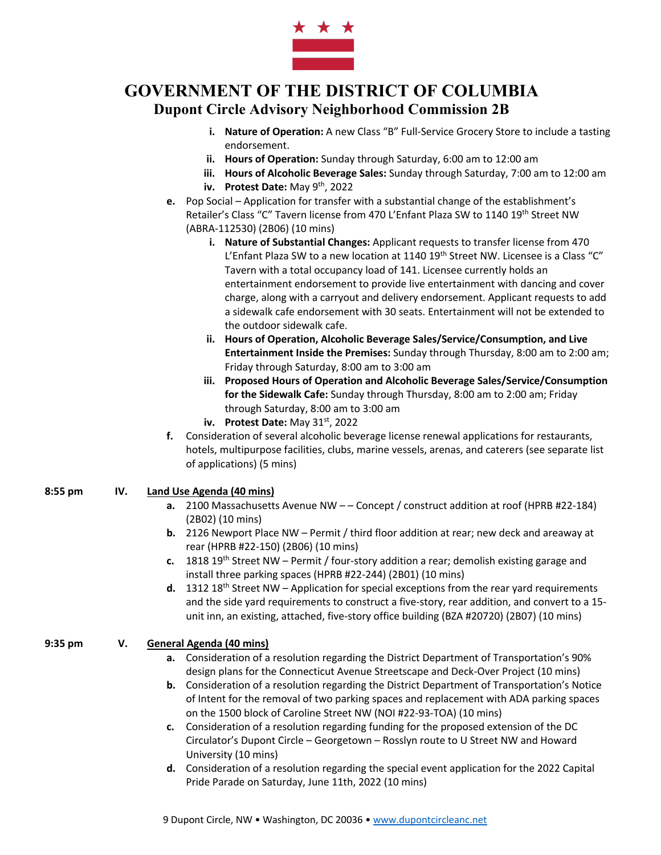

# **GOVERNMENT OF THE DISTRICT OF COLUMBIA Dupont Circle Advisory Neighborhood Commission 2B**

- **i. Nature of Operation:** A new Class "B" Full-Service Grocery Store to include a tasting endorsement.
- **ii. Hours of Operation:** Sunday through Saturday, 6:00 am to 12:00 am
- **iii. Hours of Alcoholic Beverage Sales:** Sunday through Saturday, 7:00 am to 12:00 am
- **iv. Protest Date:** May 9<sup>th</sup>, 2022
- **e.** Pop Social Application for transfer with a substantial change of the establishment's Retailer's Class "C" Tavern license from 470 L'Enfant Plaza SW to 1140 19th Street NW (ABRA-112530) (2B06) (10 mins)
	- **i. Nature of Substantial Changes:** Applicant requests to transfer license from 470 L'Enfant Plaza SW to a new location at 1140 19<sup>th</sup> Street NW. Licensee is a Class "C" Tavern with a total occupancy load of 141. Licensee currently holds an entertainment endorsement to provide live entertainment with dancing and cover charge, along with a carryout and delivery endorsement. Applicant requests to add a sidewalk cafe endorsement with 30 seats. Entertainment will not be extended to the outdoor sidewalk cafe.
	- **ii. Hours of Operation, Alcoholic Beverage Sales/Service/Consumption, and Live Entertainment Inside the Premises:** Sunday through Thursday, 8:00 am to 2:00 am; Friday through Saturday, 8:00 am to 3:00 am
	- **iii. Proposed Hours of Operation and Alcoholic Beverage Sales/Service/Consumption for the Sidewalk Cafe:** Sunday through Thursday, 8:00 am to 2:00 am; Friday through Saturday, 8:00 am to 3:00 am
	- **iv. Protest Date:** May 31<sup>st</sup>, 2022
- **f.** Consideration of several alcoholic beverage license renewal applications for restaurants, hotels, multipurpose facilities, clubs, marine vessels, arenas, and caterers (see separate list of applications) (5 mins)

#### **8:55 pm IV. Land Use Agenda (40 mins)**

- **a.** 2100 Massachusetts Avenue NW – Concept / construct addition at roof (HPRB #22-184) (2B02) (10 mins)
- **b.** 2126 Newport Place NW Permit / third floor addition at rear; new deck and areaway at rear (HPRB #22-150) (2B06) (10 mins)
- **c.** 1818 19th Street NW Permit / four-story addition a rear; demolish existing garage and install three parking spaces (HPRB #22-244) (2B01) (10 mins)
- **d.** 1312 18<sup>th</sup> Street NW Application for special exceptions from the rear yard requirements and the side yard requirements to construct a five-story, rear addition, and convert to a 15 unit inn, an existing, attached, five-story office building (BZA #20720) (2B07) (10 mins)

## **9:35 pm V. General Agenda (40 mins)**

- **a.** Consideration of a resolution regarding the District Department of Transportation's 90% design plans for the Connecticut Avenue Streetscape and Deck-Over Project (10 mins)
- **b.** Consideration of a resolution regarding the District Department of Transportation's Notice of Intent for the removal of two parking spaces and replacement with ADA parking spaces on the 1500 block of Caroline Street NW (NOI #22-93-TOA) (10 mins)
- **c.** Consideration of a resolution regarding funding for the proposed extension of the DC Circulator's Dupont Circle – Georgetown – Rosslyn route to U Street NW and Howard University (10 mins)
- **d.** Consideration of a resolution regarding the special event application for the 2022 Capital Pride Parade on Saturday, June 11th, 2022 (10 mins)